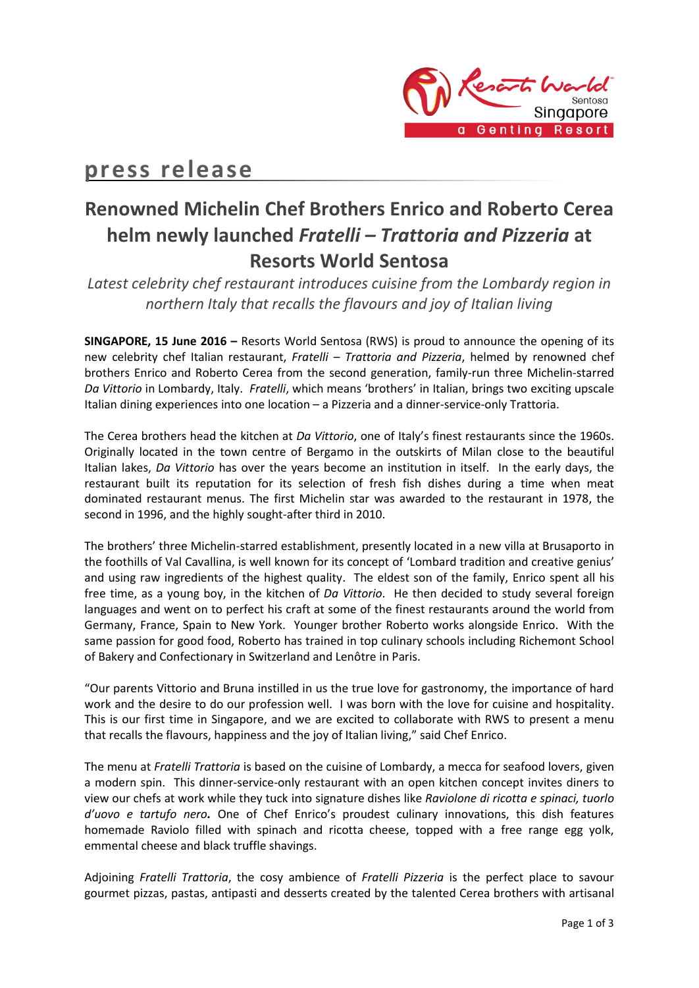

# **press release**

# **Renowned Michelin Chef Brothers Enrico and Roberto Cerea helm newly launched** *Fratelli – Trattoria and Pizzeria* **at Resorts World Sentosa**

*Latest celebrity chef restaurant introduces cuisine from the Lombardy region in northern Italy that recalls the flavours and joy of Italian living*

**SINGAPORE, 15 June 2016 –** Resorts World Sentosa (RWS) is proud to announce the opening of its new celebrity chef Italian restaurant, *Fratelli – Trattoria and Pizzeria*, helmed by renowned chef brothers Enrico and Roberto Cerea from the second generation, family-run three Michelin-starred *Da Vittorio* in Lombardy, Italy. *Fratelli*, which means 'brothers' in Italian, brings two exciting upscale Italian dining experiences into one location – a Pizzeria and a dinner-service-only Trattoria.

The Cerea brothers head the kitchen at *Da Vittorio*, one of Italy's finest restaurants since the 1960s. Originally located in the town centre of Bergamo in the outskirts of Milan close to the beautiful Italian lakes, *Da Vittorio* has over the years become an institution in itself. In the early days, the restaurant built its reputation for its selection of fresh fish dishes during a time when meat dominated restaurant menus. The first Michelin star was awarded to the restaurant in 1978, the second in 1996, and the highly sought-after third in 2010.

The brothers' three Michelin-starred establishment, presently located in a new villa at Brusaporto in the foothills of Val Cavallina, is well known for its concept of 'Lombard tradition and creative genius' and using raw ingredients of the highest quality. The eldest son of the family, Enrico spent all his free time, as a young boy, in the kitchen of *Da Vittorio*. He then decided to study several foreign languages and went on to perfect his craft at some of the finest restaurants around the world from Germany, France, Spain to New York. Younger brother Roberto works alongside Enrico. With the same passion for good food, Roberto has trained in top culinary schools including Richemont School of Bakery and Confectionary in Switzerland and Lenôtre in Paris.

"Our parents Vittorio and Bruna instilled in us the true love for gastronomy, the importance of hard work and the desire to do our profession well. I was born with the love for cuisine and hospitality. This is our first time in Singapore, and we are excited to collaborate with RWS to present a menu that recalls the flavours, happiness and the joy of Italian living," said Chef Enrico.

The menu at *Fratelli Trattoria* is based on the cuisine of Lombardy, a mecca for seafood lovers, given a modern spin. This dinner-service-only restaurant with an open kitchen concept invites diners to view our chefs at work while they tuck into signature dishes like *Raviolone di ricotta e spinaci, tuorlo d'uovo e tartufo nero.* One of Chef Enrico's proudest culinary innovations, this dish features homemade Raviolo filled with spinach and ricotta cheese, topped with a free range egg yolk, emmental cheese and black truffle shavings.

Adjoining *Fratelli Trattoria*, the cosy ambience of *Fratelli Pizzeria* is the perfect place to savour gourmet pizzas, pastas, antipasti and desserts created by the talented Cerea brothers with artisanal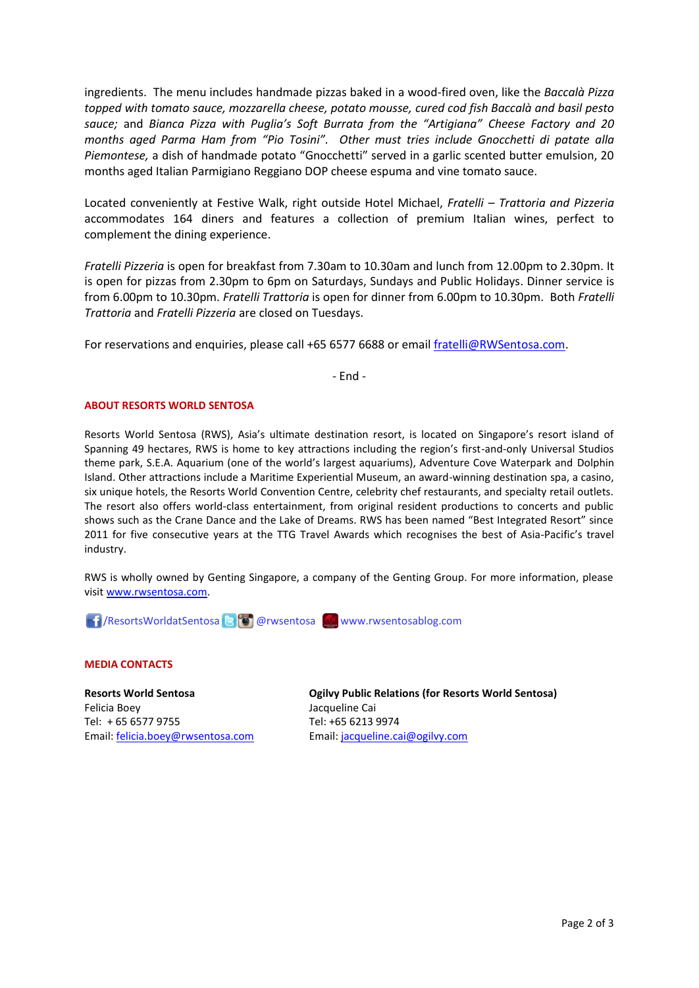ingredients. The menu includes handmade pizzas baked in a wood-fired oven, like the *Baccalà Pizza topped with tomato sauce, mozzarella cheese, potato mousse, cured cod fish Baccalà and basil pesto sauce;* and *Bianca Pizza with Puglia's Soft Burrata from the "Artigiana" Cheese Factory and 20 months aged Parma Ham from "Pio Tosini". Other must tries include Gnocchetti di patate alla Piemontese,* a dish of handmade potato "Gnocchetti" served in a garlic scented butter emulsion, 20 months aged Italian Parmigiano Reggiano DOP cheese espuma and vine tomato sauce.

Located conveniently at Festive Walk, right outside Hotel Michael, *Fratelli – Trattoria and Pizzeria* accommodates 164 diners and features a collection of premium Italian wines, perfect to complement the dining experience.

*Fratelli Pizzeria* is open for breakfast from 7.30am to 10.30am and lunch from 12.00pm to 2.30pm. It is open for pizzas from 2.30pm to 6pm on Saturdays, Sundays and Public Holidays. Dinner service is from 6.00pm to 10.30pm. *Fratelli Trattoria* is open for dinner from 6.00pm to 10.30pm. Both *Fratelli Trattoria* and *Fratelli Pizzeria* are closed on Tuesdays.

For reservations and enquiries, please call +65 6577 6688 or emai[l fratelli@RWSentosa.com.](mailto:fratelli@RWSentosa.com)

- End -

### **ABOUT RESORTS WORLD SENTOSA**

Resorts World Sentosa (RWS), Asia's ultimate destination resort, is located on Singapore's resort island of Spanning 49 hectares, RWS is home to key attractions including the region's first-and-only Universal Studios theme park, S.E.A. Aquarium (one of the world's largest aquariums), Adventure Cove Waterpark and Dolphin Island. Other attractions include a Maritime Experiential Museum, an award-winning destination spa, a casino, six unique hotels, the Resorts World Convention Centre, celebrity chef restaurants, and specialty retail outlets. The resort also offers world-class entertainment, from original resident productions to concerts and public shows such as the Crane Dance and the Lake of Dreams. RWS has been named "Best Integrated Resort" since 2011 for five consecutive years at the TTG Travel Awards which recognises the best of Asia-Pacific's travel industry.

RWS is wholly owned by Genting Singapore, a company of the Genting Group. For more information, please visi[t www.rwsentosa.com.](http://www.rwsentosa.com/)

**1 / ResortsWorldatSentosa B o @rwsentosa Www.rwsentosablog.com** 

### **MEDIA CONTACTS**

**Resorts World Sentosa** Felicia Boey Tel: + 65 6577 9755 Email: [felicia.boey@rwsentosa.com](mailto:felicia.boey@rwsentosa.com)

**Ogilvy Public Relations (for Resorts World Sentosa)** Jacqueline Cai Tel: +65 6213 9974 Email[: jacqueline.cai@ogilvy.com](mailto:jacqueline.cai@ogilvy.com)